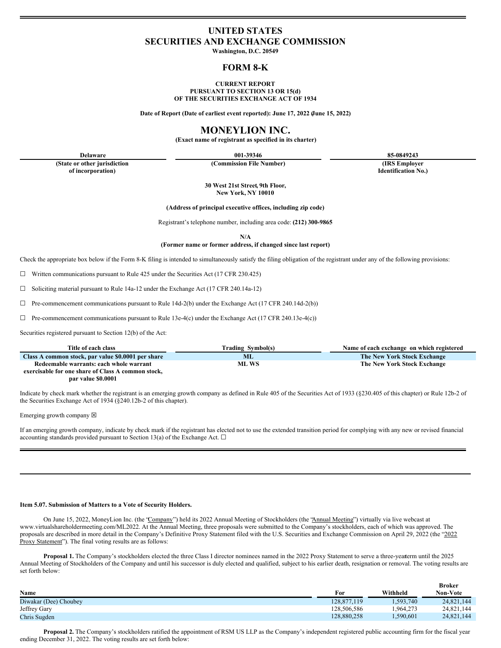# **UNITED STATES SECURITIES AND EXCHANGE COMMISSION**

**Washington, D.C. 20549**

### **FORM 8-K**

#### **CURRENT REPORT PURSUANT TO SECTION 13 OR 15(d) OF THE SECURITIES EXCHANGE ACT OF 1934**

**Date of Report (Date of earliest event reported): June 17, 2022 (June 15, 2022)**

## **MONEYLION INC.**

**(Exact name of registrant as specified in its charter)**

**(State or other jurisdiction of incorporation)**

**(Commission File Number) (IRS Employer**

**Delaware 001-39346 85-0849243 Identification No.)**

> **30 West 21st Street, 9th Floor, New York, NY 10010**

**(Address of principal executive offices, including zip code)**

Registrant's telephone number, including area code: **(212) 300-9865**

**N/A**

**(Former name or former address, if changed since last report)**

Check the appropriate box below if the Form 8-K filing is intended to simultaneously satisfy the filing obligation of the registrant under any of the following provisions:

☐ Written communications pursuant to Rule 425 under the Securities Act (17 CFR 230.425)

☐ Soliciting material pursuant to Rule 14a-12 under the Exchange Act (17 CFR 240.14a-12)

 $\Box$  Pre-commencement communications pursuant to Rule 14d-2(b) under the Exchange Act (17 CFR 240.14d-2(b))

 $\Box$  Pre-commencement communications pursuant to Rule 13e-4(c) under the Exchange Act (17 CFR 240.13e-4(c))

Securities registered pursuant to Section 12(b) of the Act:

| Title of each class                                | Trading Symbol(s) | Name of each exchange on which registered |
|----------------------------------------------------|-------------------|-------------------------------------------|
| Class A common stock, par value \$0.0001 per share | ML.               | The New York Stock Exchange               |
| Redeemable warrants: each whole warrant            | ML WS             | The New York Stock Exchange               |
| exercisable for one share of Class A common stock, |                   |                                           |
| nar value \$0,0001                                 |                   |                                           |

Indicate by check mark whether the registrant is an emerging growth company as defined in Rule 405 of the Securities Act of 1933 (§230.405 of this chapter) or Rule 12b-2 of the Securities Exchange Act of 1934 (§240.12b-2 of this chapter).

Emerging growth company  $\boxtimes$ 

If an emerging growth company, indicate by check mark if the registrant has elected not to use the extended transition period for complying with any new or revised financial accounting standards provided pursuant to Section 13(a) of the Exchange Act.  $\Box$ 

#### **Item 5.07. Submission of Matters to a Vote of Security Holders.**

On June 15, 2022, MoneyLion Inc. (the 'Company") held its 2022 Annual Meeting of Stockholders (the 'Annual Meeting") virtually via live webcast at www.virtualshareholdermeeting.com/ML2022. At the Annual Meeting, three proposals were submitted to the Company's stockholders, each of which was approved. The proposals are described in more detail in the Company's Definitive Proxy Statement filed with the U.S. Securities and Exchange Commission on April 29, 2022 (the "2022 Proxy Statement"). The final voting results are as follows:

**Proposal 1.** The Company's stockholders elected the three Class I director nominees named in the 2022 Proxy Statement to serve a three-yearterm until the 2025 Annual Meeting of Stockholders of the Company and until his successor is duly elected and qualified, subject to his earlier death, resignation or removal. The voting results are set forth below:

|                       |             |          | <b>Broker</b> |
|-----------------------|-------------|----------|---------------|
| Name                  | For         | Withheld | Non-Vote      |
| Diwakar (Dee) Choubey | 128.877.119 | .593,740 | 24,821,144    |
| Jeffrey Gary          | 128.506.586 | .964.273 | 24,821,144    |
| Chris Sugden          | 128,880,258 | .590,601 | 24,821,144    |

**Proposal 2.** The Company's stockholders ratified the appointment of RSM US LLP as the Company's independent registered public accounting firm for the fiscal year ending December 31, 2022. The voting results are set forth below: